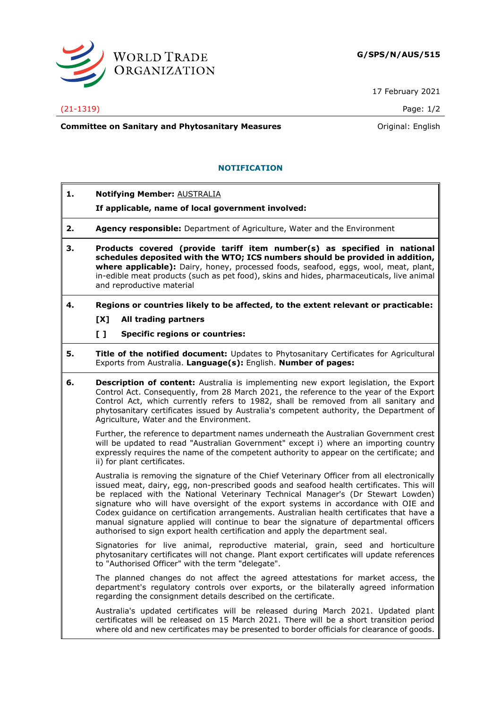

17 February 2021

#### (21-1319) Page: 1/2

**Committee on Sanitary and Phytosanitary Measures Committee on Sanitary and Phytosanitary Measures Committee And American** 

## **NOTIFICATION**

**1. Notifying Member:** AUSTRALIA

### **If applicable, name of local government involved:**

- **2. Agency responsible:** Department of Agriculture, Water and the Environment
- **3. Products covered (provide tariff item number(s) as specified in national schedules deposited with the WTO; ICS numbers should be provided in addition, where applicable):** Dairy, honey, processed foods, seafood, eggs, wool, meat, plant, in-edible meat products (such as pet food), skins and hides, pharmaceuticals, live animal and reproductive material

# **4. Regions or countries likely to be affected, to the extent relevant or practicable:**

## **[X] All trading partners**

### **[ ] Specific regions or countries:**

- **5. Title of the notified document:** Updates to Phytosanitary Certificates for Agricultural Exports from Australia. **Language(s):** English. **Number of pages:**
- **6. Description of content:** Australia is implementing new export legislation, the Export Control Act. Consequently, from 28 March 2021, the reference to the year of the Export Control Act, which currently refers to 1982, shall be removed from all sanitary and phytosanitary certificates issued by Australia's competent authority, the Department of Agriculture, Water and the Environment.

Further, the reference to department names underneath the Australian Government crest will be updated to read "Australian Government" except i) where an importing country expressly requires the name of the competent authority to appear on the certificate; and ii) for plant certificates.

Australia is removing the signature of the Chief Veterinary Officer from all electronically issued meat, dairy, egg, non-prescribed goods and seafood health certificates. This will be replaced with the National Veterinary Technical Manager's (Dr Stewart Lowden) signature who will have oversight of the export systems in accordance with OIE and Codex guidance on certification arrangements. Australian health certificates that have a manual signature applied will continue to bear the signature of departmental officers authorised to sign export health certification and apply the department seal.

Signatories for live animal, reproductive material, grain, seed and horticulture phytosanitary certificates will not change. Plant export certificates will update references to "Authorised Officer" with the term "delegate".

The planned changes do not affect the agreed attestations for market access, the department's regulatory controls over exports, or the bilaterally agreed information regarding the consignment details described on the certificate.

Australia's updated certificates will be released during March 2021. Updated plant certificates will be released on 15 March 2021. There will be a short transition period where old and new certificates may be presented to border officials for clearance of goods.